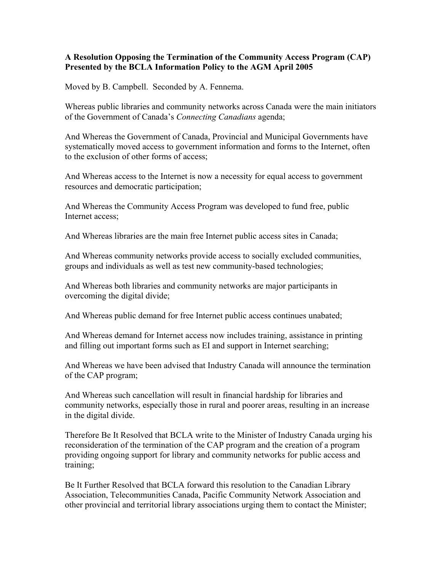## **A Resolution Opposing the Termination of the Community Access Program (CAP) Presented by the BCLA Information Policy to the AGM April 2005**

Moved by B. Campbell. Seconded by A. Fennema.

Whereas public libraries and community networks across Canada were the main initiators of the Government of Canada's *Connecting Canadians* agenda;

And Whereas the Government of Canada, Provincial and Municipal Governments have systematically moved access to government information and forms to the Internet, often to the exclusion of other forms of access;

And Whereas access to the Internet is now a necessity for equal access to government resources and democratic participation;

And Whereas the Community Access Program was developed to fund free, public Internet access;

And Whereas libraries are the main free Internet public access sites in Canada;

And Whereas community networks provide access to socially excluded communities, groups and individuals as well as test new community-based technologies;

And Whereas both libraries and community networks are major participants in overcoming the digital divide;

And Whereas public demand for free Internet public access continues unabated;

And Whereas demand for Internet access now includes training, assistance in printing and filling out important forms such as EI and support in Internet searching;

And Whereas we have been advised that Industry Canada will announce the termination of the CAP program;

And Whereas such cancellation will result in financial hardship for libraries and community networks, especially those in rural and poorer areas, resulting in an increase in the digital divide.

Therefore Be It Resolved that BCLA write to the Minister of Industry Canada urging his reconsideration of the termination of the CAP program and the creation of a program providing ongoing support for library and community networks for public access and training;

Be It Further Resolved that BCLA forward this resolution to the Canadian Library Association, Telecommunities Canada, Pacific Community Network Association and other provincial and territorial library associations urging them to contact the Minister;